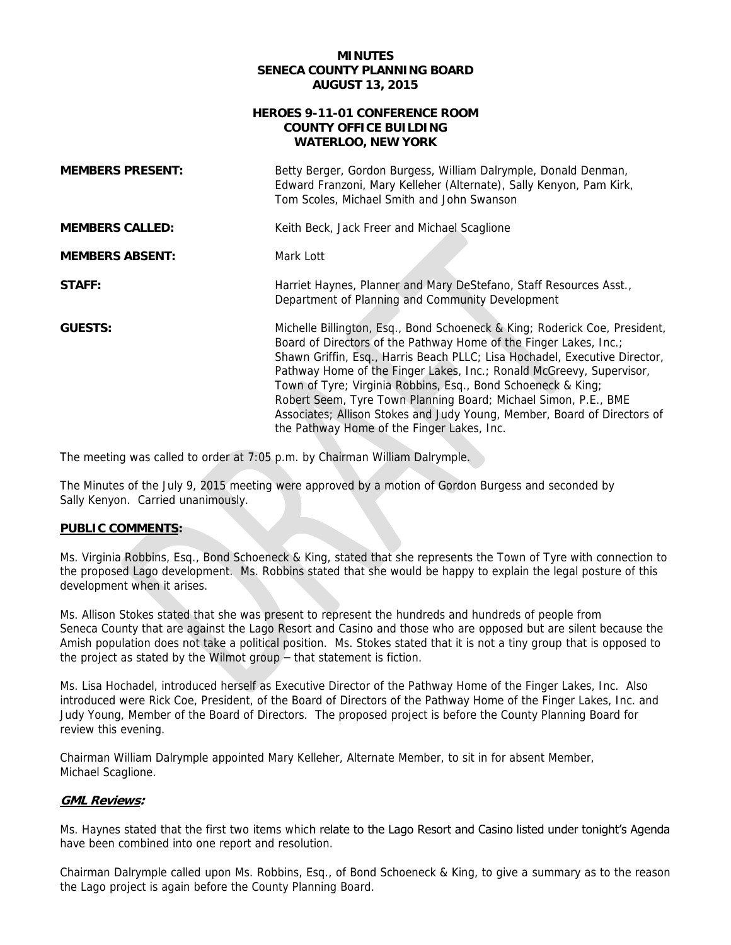#### **MINUTES SENECA COUNTY PLANNING BOARD AUGUST 13, 2015**

#### **HEROES 9-11-01 CONFERENCE ROOM WATERLOO, NEW YORK COUNTY OFFICE BUILDING**

| <b>MEMBERS PRESENT:</b> | Betty Berger, Gordon Burgess, William Dalrymple, Donald Denman,<br>Edward Franzoni, Mary Kelleher (Alternate), Sally Kenyon, Pam Kirk,<br>Tom Scoles, Michael Smith and John Swanson                                                                                                                                                                                                                                                                                                                                                                               |
|-------------------------|--------------------------------------------------------------------------------------------------------------------------------------------------------------------------------------------------------------------------------------------------------------------------------------------------------------------------------------------------------------------------------------------------------------------------------------------------------------------------------------------------------------------------------------------------------------------|
| <b>MEMBERS CALLED:</b>  | Keith Beck, Jack Freer and Michael Scaglione                                                                                                                                                                                                                                                                                                                                                                                                                                                                                                                       |
| <b>MEMBERS ABSENT:</b>  | Mark Lott                                                                                                                                                                                                                                                                                                                                                                                                                                                                                                                                                          |
| STAFF:                  | Harriet Haynes, Planner and Mary DeStefano, Staff Resources Asst.,<br>Department of Planning and Community Development                                                                                                                                                                                                                                                                                                                                                                                                                                             |
| <b>GUESTS:</b>          | Michelle Billington, Esq., Bond Schoeneck & King; Roderick Coe, President,<br>Board of Directors of the Pathway Home of the Finger Lakes, Inc.;<br>Shawn Griffin, Esq., Harris Beach PLLC; Lisa Hochadel, Executive Director,<br>Pathway Home of the Finger Lakes, Inc.; Ronald McGreevy, Supervisor,<br>Town of Tyre; Virginia Robbins, Esq., Bond Schoeneck & King;<br>Robert Seem, Tyre Town Planning Board; Michael Simon, P.E., BME<br>Associates; Allison Stokes and Judy Young, Member, Board of Directors of<br>the Pathway Home of the Finger Lakes, Inc. |

The meeting was called to order at 7:05 p.m. by Chairman William Dalrymple.

 The Minutes of the July 9, 2015 meeting were approved by a motion of Gordon Burgess and seconded by Sally Kenyon. Carried unanimously.

# **PUBLIC COMMENTS:**

Ms. Virginia Robbins, Esq., Bond Schoeneck & King, stated that she represents the Town of Tyre with connection to the proposed Lago development. Ms. Robbins stated that she would be happy to explain the legal posture of this development when it arises.

 Ms. Allison Stokes stated that she was present to represent the hundreds and hundreds of people from Seneca County that are against the Lago Resort and Casino and those who are opposed but are silent because the Amish population does not take a political position. Ms. Stokes stated that it is not a tiny group that is opposed to the project as stated by the Wilmot group – that statement is fiction.

Ms. Lisa Hochadel, introduced herself as Executive Director of the Pathway Home of the Finger Lakes, Inc. Also introduced were Rick Coe, President, of the Board of Directors of the Pathway Home of the Finger Lakes, Inc. and Judy Young, Member of the Board of Directors. The proposed project is before the County Planning Board for review this evening.

 Chairman William Dalrymple appointed Mary Kelleher, Alternate Member, to sit in for absent Member, Michael Scaglione.

# **GML Reviews:**

 Ms. Haynes stated that the first two items which relate to the Lago Resort and Casino listed under tonight's Agenda have been combined into one report and resolution.

 Chairman Dalrymple called upon Ms. Robbins, Esq., of Bond Schoeneck & King, to give a summary as to the reason the Lago project is again before the County Planning Board.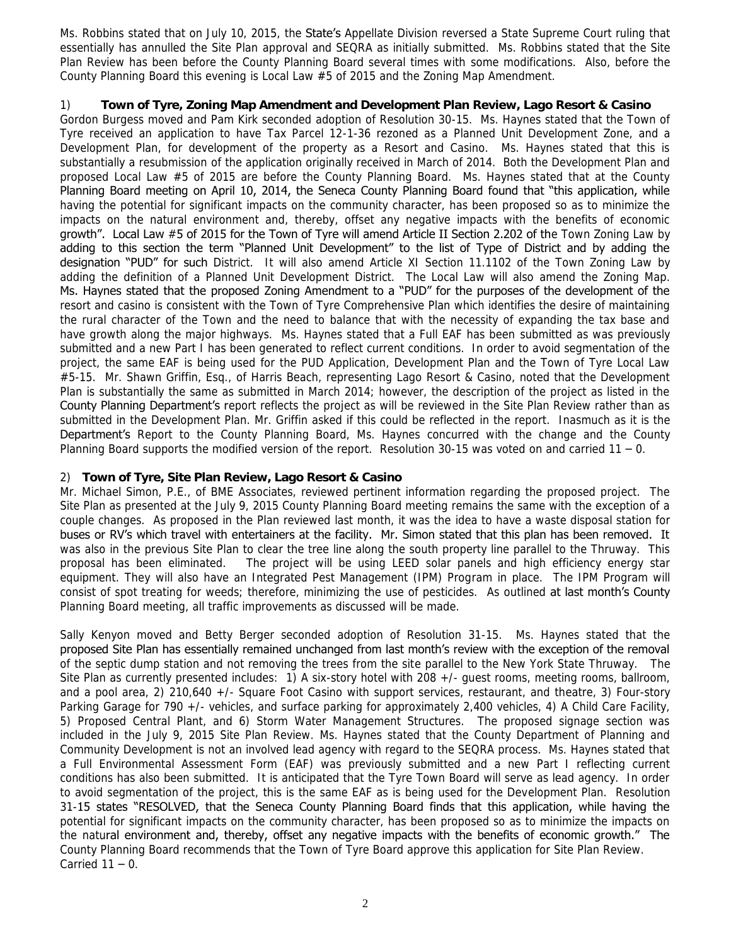Ms. Robbins stated that on July 10, 2015, the State's Appellate Division reversed a State Supreme Court ruling that essentially has annulled the Site Plan approval and SEQRA as initially submitted. Ms. Robbins stated that the Site Plan Review has been before the County Planning Board several times with some modifications. Also, before the County Planning Board this evening is Local Law #5 of 2015 and the Zoning Map Amendment.

#### 1) Town of Tyre, Zoning Map Amendment and Development Plan Review, Lago Resort & Casino

 Gordon Burgess moved and Pam Kirk seconded adoption of Resolution 30-15. Ms. Haynes stated that the Town of Tyre received an application to have Tax Parcel 12-1-36 rezoned as a Planned Unit Development Zone, and a Development Plan, for development of the property as a Resort and Casino. Ms. Haynes stated that this is substantially a resubmission of the application originally received in March of 2014. Both the Development Plan and proposed Local Law #5 of 2015 are before the County Planning Board. Ms. Haynes stated that at the County Planning Board meeting on April 10, 2014, the Seneca County Planning Board found that "this application, while having the potential for significant impacts on the community character, has been proposed so as to minimize the impacts on the natural environment and, thereby, offset any negative impacts with the benefits of economic adding to this section the term "Planned Unit Development" to the list of Type of District and by adding the designation "PUD" for such District. It will also amend Article XI Section 11.1102 of the Town Zoning Law by adding the definition of a Planned Unit Development District. The Local Law will also amend the Zoning Map. Ms. Haynes stated that the proposed Zoning Amendment to a "PUD" for the purposes of the development of the resort and casino is consistent with the Town of Tyre Comprehensive Plan which identifies the desire of maintaining the rural character of the Town and the need to balance that with the necessity of expanding the tax base and have growth along the major highways. Ms. Haynes stated that a Full EAF has been submitted as was previously project, the same EAF is being used for the PUD Application, Development Plan and the Town of Tyre Local Law #5-15. Mr. Shawn Griffin, Esq., of Harris Beach, representing Lago Resort & Casino, noted that the Development Plan is substantially the same as submitted in March 2014; however, the description of the project as listed in the County Planning Department's report reflects the project as will be reviewed in the Site Plan Review rather than as submitted in the Development Plan. Mr. Griffin asked if this could be reflected in the report. Inasmuch as it is the Department's Report to the County Planning Board, Ms. Haynes concurred with the change and the County Planning Board supports the modified version of the report. Resolution 30-15 was voted on and carried 11 – 0. growth". Local Law #5 of 2015 for the Town of Tyre will amend Article II Section 2.202 of the Town Zoning Law by submitted and a new Part I has been generated to reflect current conditions. In order to avoid segmentation of the

#### 2) **Town of Tyre, Site Plan Review, Lago Resort & Casino**

 Mr. Michael Simon, P.E., of BME Associates, reviewed pertinent information regarding the proposed project. The couple changes. As proposed in the Plan reviewed last month, it was the idea to have a waste disposal station for buses or RV's which travel with entertainers at the facility. Mr. Simon stated that this plan has been removed. It was also in the previous Site Plan to clear the tree line along the south property line parallel to the Thruway. This equipment. They will also have an Integrated Pest Management (IPM) Program in place. The IPM Program will consist of spot treating for weeds; therefore, minimizing the use of pesticides. As outlined at last month's County Site Plan as presented at the July 9, 2015 County Planning Board meeting remains the same with the exception of a proposal has been eliminated. The project will be using LEED solar panels and high efficiency energy star Planning Board meeting, all traffic improvements as discussed will be made.

 Sally Kenyon moved and Betty Berger seconded adoption of Resolution 31-15. Ms. Haynes stated that the proposed Site Plan has essentially remained unchanged from last month's review with the exception of the removal of the septic dump station and not removing the trees from the site parallel to the New York State Thruway. The Site Plan as currently presented includes: 1) A six-story hotel with 208 +/- guest rooms, meeting rooms, ballroom, and a pool area, 2) 210,640 +/- Square Foot Casino with support services, restaurant, and theatre, 3) Four-story Parking Garage for 790 +/- vehicles, and surface parking for approximately 2,400 vehicles, 4) A Child Care Facility, 5) Proposed Central Plant, and 6) Storm Water Management Structures. The proposed signage section was included in the July 9, 2015 Site Plan Review. Ms. Haynes stated that the County Department of Planning and Community Development is not an involved lead agency with regard to the SEQRA process. Ms. Haynes stated that a Full Environmental Assessment Form (EAF) was previously submitted and a new Part I reflecting current conditions has also been submitted. It is anticipated that the Tyre Town Board will serve as lead agency. In order to avoid segmentation of the project, this is the same EAF as is being used for the Development Plan. Resolution 31-15 states "RESOLVED, that the Seneca County Planning Board finds that this application, while having the potential for significant impacts on the community character, has been proposed so as to minimize the impacts on the natural environment and, thereby, offset any negative impacts with the benefits of economic growth." The Carried  $11 - 0$ . County Planning Board recommends that the Town of Tyre Board approve this application for Site Plan Review.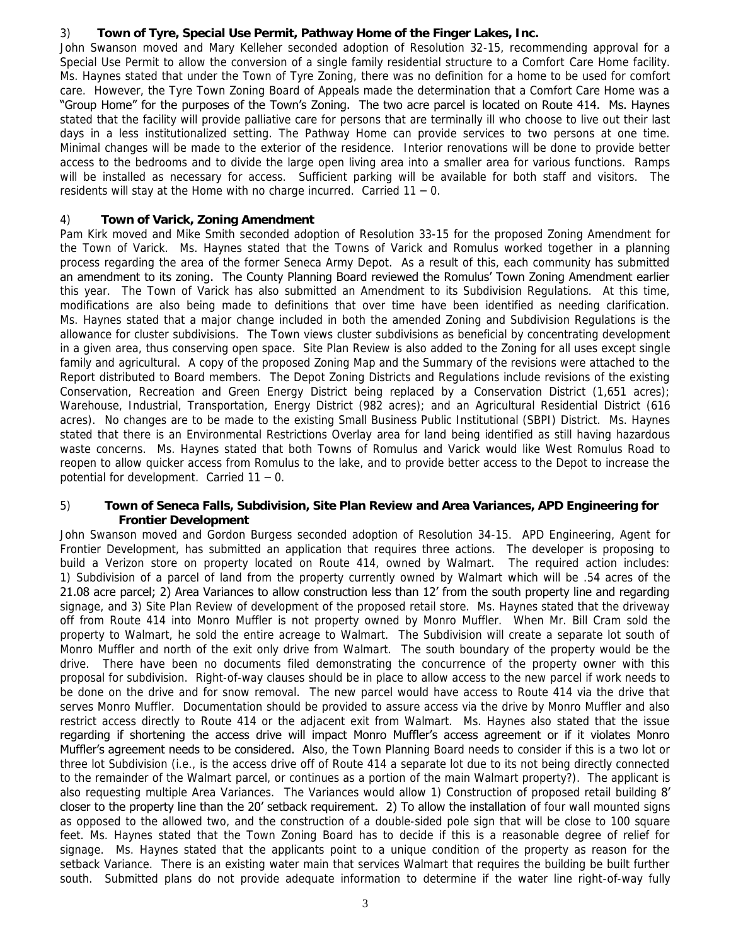# 3) **Town of Tyre, Special Use Permit, Pathway Home of the Finger Lakes, Inc.**

 John Swanson moved and Mary Kelleher seconded adoption of Resolution 32-15, recommending approval for a Special Use Permit to allow the conversion of a single family residential structure to a Comfort Care Home facility. Ms. Haynes stated that under the Town of Tyre Zoning, there was no definition for a home to be used for comfort care. However, the Tyre Town Zoning Board of Appeals made the determination that a Comfort Care Home was a "Group Home" for the purposes of the Town's Zoning. The two acre parcel is located on Route 414. Ms. Haynes stated that the facility will provide palliative care for persons that are terminally ill who choose to live out their last days in a less institutionalized setting. The Pathway Home can provide services to two persons at one time. Minimal changes will be made to the exterior of the residence. Interior renovations will be done to provide better access to the bedrooms and to divide the large open living area into a smaller area for various functions. Ramps will be installed as necessary for access. Sufficient parking will be available for both staff and visitors. The residents will stay at the Home with no charge incurred. Carried 11 – 0.

# 4) **Town of Varick, Zoning Amendment**

 Pam Kirk moved and Mike Smith seconded adoption of Resolution 33-15 for the proposed Zoning Amendment for the Town of Varick. Ms. Haynes stated that the Towns of Varick and Romulus worked together in a planning process regarding the area of the former Seneca Army Depot. As a result of this, each community has submitted an amendment to its zoning. The County Planning Board reviewed the Romulus' Town Zoning Amendment earlier this year. The Town of Varick has also submitted an Amendment to its Subdivision Regulations. At this time, modifications are also being made to definitions that over time have been identified as needing clarification. Ms. Haynes stated that a major change included in both the amended Zoning and Subdivision Regulations is the allowance for cluster subdivisions. The Town views cluster subdivisions as beneficial by concentrating development in a given area, thus conserving open space. Site Plan Review is also added to the Zoning for all uses except single Report distributed to Board members. The Depot Zoning Districts and Regulations include revisions of the existing acres). No changes are to be made to the existing Small Business Public Institutional (SBPI) District. Ms. Haynes stated that there is an Environmental Restrictions Overlay area for land being identified as still having hazardous waste concerns. Ms. Haynes stated that both Towns of Romulus and Varick would like West Romulus Road to reopen to allow quicker access from Romulus to the lake, and to provide better access to the Depot to increase the potential for development. Carried 11 – 0. family and agricultural. A copy of the proposed Zoning Map and the Summary of the revisions were attached to the Conservation, Recreation and Green Energy District being replaced by a Conservation District (1,651 acres); Warehouse, Industrial, Transportation, Energy District (982 acres); and an Agricultural Residential District (616

# 5) **Town of Seneca Falls, Subdivision, Site Plan Review and Area Variances, APD Engineering for Frontier Development**

 John Swanson moved and Gordon Burgess seconded adoption of Resolution 34-15. APD Engineering, Agent for Frontier Development, has submitted an application that requires three actions. The developer is proposing to build a Verizon store on property located on Route 414, owned by Walmart. The required action includes: 1) Subdivision of a parcel of land from the property currently owned by Walmart which will be .54 acres of the 21.08 acre parcel; 2) Area Variances to allow construction less than 12' from the south property line and regarding signage, and 3) Site Plan Review of development of the proposed retail store. Ms. Haynes stated that the driveway off from Route 414 into Monro Muffler is not property owned by Monro Muffler. When Mr. Bill Cram sold the property to Walmart, he sold the entire acreage to Walmart. The Subdivision will create a separate lot south of Monro Muffler and north of the exit only drive from Walmart. The south boundary of the property would be the drive. There have been no documents filed demonstrating the concurrence of the property owner with this be done on the drive and for snow removal. The new parcel would have access to Route 414 via the drive that serves Monro Muffler. Documentation should be provided to assure access via the drive by Monro Muffler and also restrict access directly to Route 414 or the adjacent exit from Walmart. Ms. Haynes also stated that the issue regarding if shortening the access drive will impact Monro Muffler's access agreement or if it violates Monro Muffler's agreement needs to be considered. Also, the Town Planning Board needs to consider if this is a two lot or three lot Subdivision (i.e., is the access drive off of Route 414 a separate lot due to its not being directly connected to the remainder of the Walmart parcel, or continues as a portion of the main Walmart property?). The applicant is also requesting multiple Area Variances. The Variances would allow 1) Construction of proposed retail building 8' closer to the property line than the 20' setback requirement. 2) To allow the installation of four wall mounted signs as opposed to the allowed two, and the construction of a double-sided pole sign that will be close to 100 square feet. Ms. Haynes stated that the Town Zoning Board has to decide if this is a reasonable degree of relief for signage. Ms. Haynes stated that the applicants point to a unique condition of the property as reason for the setback Variance. There is an existing water main that services Walmart that requires the building be built further south. Submitted plans do not provide adequate information to determine if the water line right-of-way fully proposal for subdivision. Right-of-way clauses should be in place to allow access to the new parcel if work needs to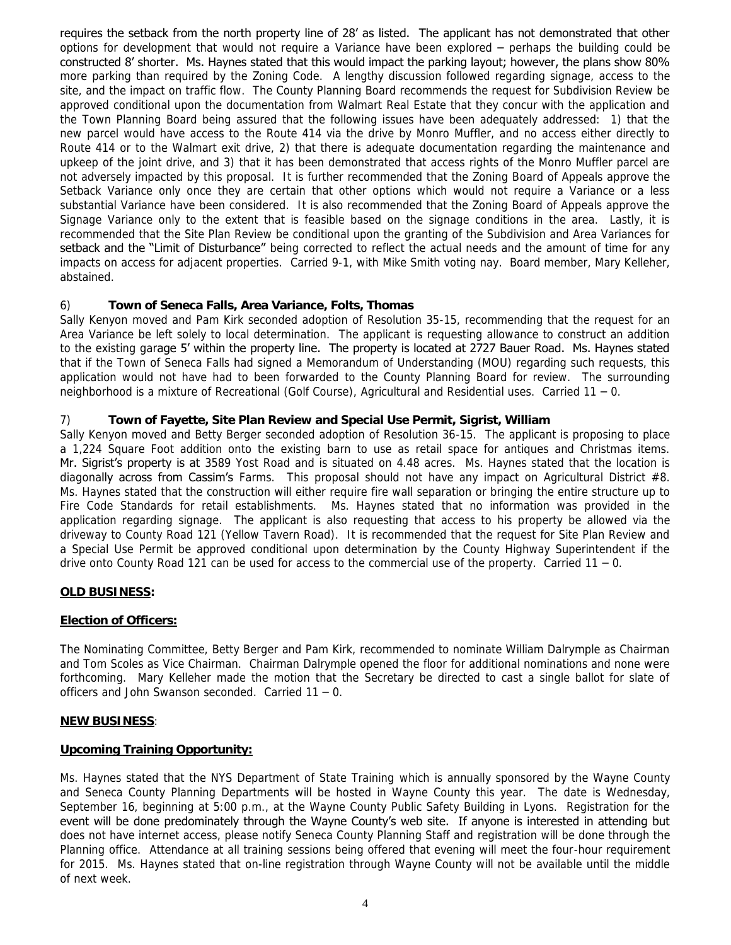requires the setback from the north property line of 28' as listed. The applicant has not demonstrated that other options for development that would not require a Variance have been explored – perhaps the building could be constructed 8' shorter. Ms. Haynes stated that this would impact the parking layout; however, the plans show 80% more parking than required by the Zoning Code. A lengthy discussion followed regarding signage, access to the site, and the impact on traffic flow. The County Planning Board recommends the request for Subdivision Review be approved conditional upon the documentation from Walmart Real Estate that they concur with the application and the Town Planning Board being assured that the following issues have been adequately addressed: 1) that the new parcel would have access to the Route 414 via the drive by Monro Muffler, and no access either directly to Route 414 or to the Walmart exit drive, 2) that there is adequate documentation regarding the maintenance and upkeep of the joint drive, and 3) that it has been demonstrated that access rights of the Monro Muffler parcel are not adversely impacted by this proposal. It is further recommended that the Zoning Board of Appeals approve the Setback Variance only once they are certain that other options which would not require a Variance or a less substantial Variance have been considered. It is also recommended that the Zoning Board of Appeals approve the Signage Variance only to the extent that is feasible based on the signage conditions in the area. Lastly, it is recommended that the Site Plan Review be conditional upon the granting of the Subdivision and Area Variances for setback and the "Limit of Disturbance" being corrected to reflect the actual needs and the amount of time for any abstained. impacts on access for adjacent properties. Carried 9-1, with Mike Smith voting nay. Board member, Mary Kelleher,

# abstained. 6) **Town of Seneca Falls, Area Variance, Folts, Thomas**

 Sally Kenyon moved and Pam Kirk seconded adoption of Resolution 35-15, recommending that the request for an Area Variance be left solely to local determination. The applicant is requesting allowance to construct an addition to the existing garage 5' within the property line. The property is located at 2727 Bauer Road. Ms. Haynes stated that if the Town of Seneca Falls had signed a Memorandum of Understanding (MOU) regarding such requests, this application would not have had to been forwarded to the County Planning Board for review. The surrounding neighborhood is a mixture of Recreational (Golf Course), Agricultural and Residential uses. Carried 11 – 0.

# 7) **Town of Fayette, Site Plan Review and Special Use Permit, Sigrist, William**

 Sally Kenyon moved and Betty Berger seconded adoption of Resolution 36-15. The applicant is proposing to place a 1,224 Square Foot addition onto the existing barn to use as retail space for antiques and Christmas items. Mr. Sigrist's property is at 3589 Yost Road and is situated on 4.48 acres. Ms. Haynes stated that the location is diagonally across from Cassim's Farms. This proposal should not have any impact on Agricultural District #8. Ms. Haynes stated that the construction will either require fire wall separation or bringing the entire structure up to Fire Code Standards for retail establishments. Ms. Haynes stated that no information was provided in the application regarding signage. The applicant is also requesting that access to his property be allowed via the driveway to County Road 121 (Yellow Tavern Road). It is recommended that the request for Site Plan Review and a Special Use Permit be approved conditional upon determination by the County Highway Superintendent if the drive onto County Road 121 can be used for access to the commercial use of the property. Carried  $11 - 0$ .

# **OLD BUSINESS:**

# **Election of Officers:**

 The Nominating Committee, Betty Berger and Pam Kirk, recommended to nominate William Dalrymple as Chairman and Tom Scoles as Vice Chairman. Chairman Dalrymple opened the floor for additional nominations and none were forthcoming. Mary Kelleher made the motion that the Secretary be directed to cast a single ballot for slate of officers and John Swanson seconded. Carried 11 – 0.

# **NEW BUSINESS**:

#### **Upcoming Training Opportunity:**

 Ms. Haynes stated that the NYS Department of State Training which is annually sponsored by the Wayne County and Seneca County Planning Departments will be hosted in Wayne County this year. The date is Wednesday, September 16, beginning at 5:00 p.m., at the Wayne County Public Safety Building in Lyons. Registration for the event will be done predominately through the Wayne County's web site. If anyone is interested in attending but does not have internet access, please notify Seneca County Planning Staff and registration will be done through the Planning office. Attendance at all training sessions being offered that evening will meet the four-hour requirement for 2015. Ms. Haynes stated that on-line registration through Wayne County will not be available until the middle of next week.